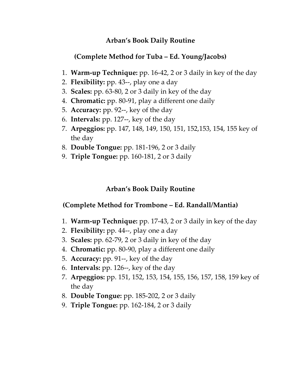## **Arban's Book Daily Routine**

## **(Complete Method for Tuba – Ed. Young/Jacobs)**

- 1. **Warm‐up Technique:** pp. 16‐42, 2 or 3 daily in key of the day
- 2. **Flexibility:** pp. 43‐‐, play one a day
- 3. **Scales:** pp. 63‐80, 2 or 3 daily in key of the day
- 4. **Chromatic:** pp. 80‐91, play a different one daily
- 5. **Accuracy:** pp. 92‐‐, key of the day
- 6. **Intervals:** pp. 127‐‐, key of the day
- 7. **Arpeggios:** pp. 147, 148, 149, 150, 151, 152,153, 154, 155 key of the day
- 8. **Double Tongue:** pp. 181‐196, 2 or 3 daily
- 9. **Triple Tongue:** pp. 160‐181, 2 or 3 daily

#### **Arban's Book Daily Routine**

#### **(Complete Method for Trombone – Ed. Randall/Mantia)**

- 1. **Warm‐up Technique:** pp. 17‐43, 2 or 3 daily in key of the day
- 2. **Flexibility:** pp. 44‐‐, play one a day
- 3. **Scales:** pp. 62‐79, 2 or 3 daily in key of the day
- 4. **Chromatic:** pp. 80‐90, play a different one daily
- 5. **Accuracy:** pp. 91‐‐, key of the day
- 6. **Intervals:** pp. 126‐‐, key of the day
- 7. **Arpeggios:** pp. 151, 152, 153, 154, 155, 156, 157, 158, 159 key of the day
- 8. **Double Tongue:** pp. 185‐202, 2 or 3 daily
- 9. **Triple Tongue:** pp. 162‐184, 2 or 3 daily